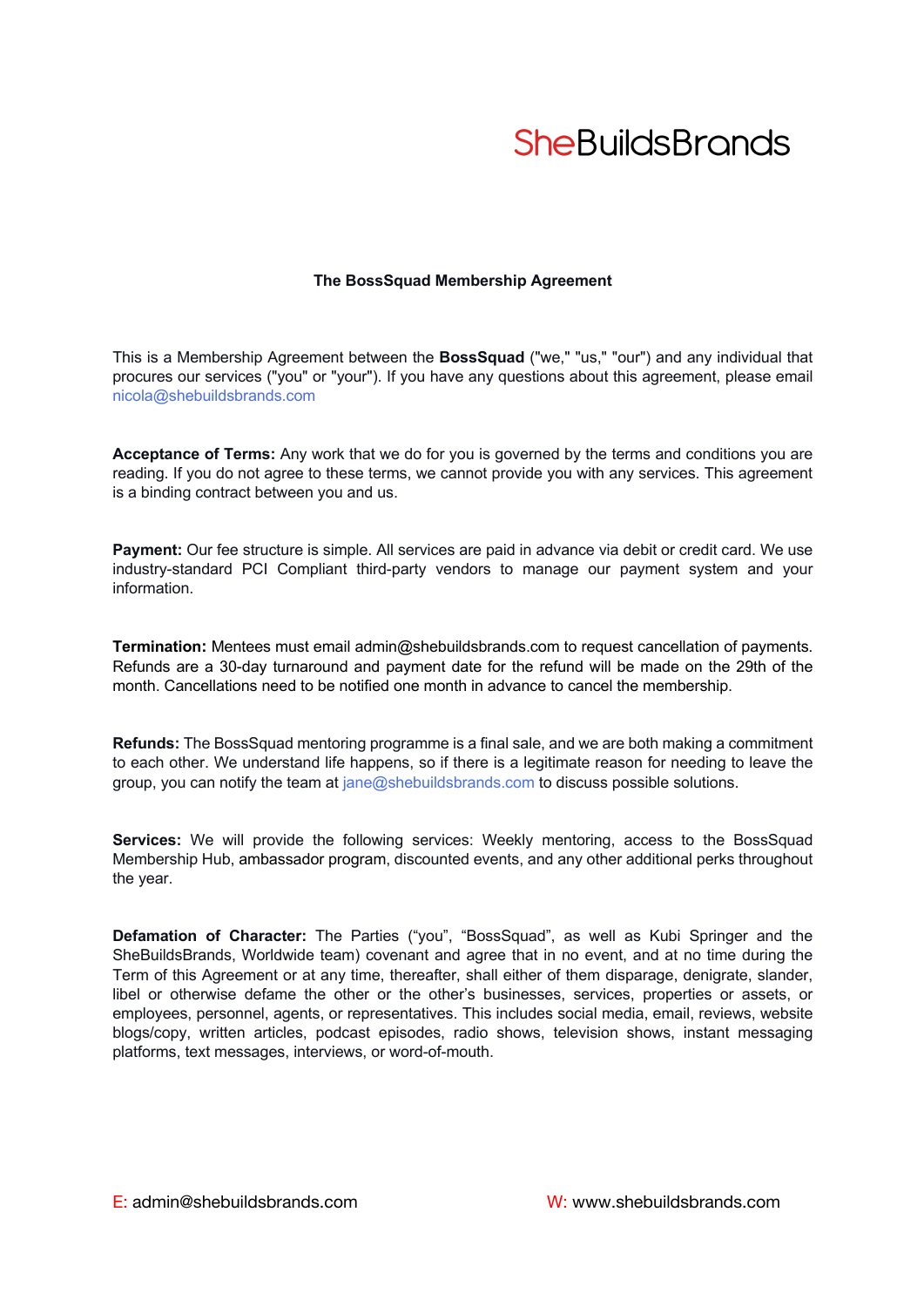## **SheBuildsBrands**

## **The BossSquad Membership Agreement**

This is a Membership Agreement between the **BossSquad** ("we," "us," "our") and any individual that procures our services ("you" or "your"). If you have any questions about this agreement, please email nicola@shebuildsbrands.com

**Acceptance of Terms:** Any work that we do for you is governed by the terms and conditions you are reading. If you do not agree to these terms, we cannot provide you with any services. This agreement is a binding contract between you and us.

**Payment:** Our fee structure is simple. All services are paid in advance via debit or credit card. We use industry-standard PCI Compliant third-party vendors to manage our payment system and your information.

**Termination:** Mentees must email admin@shebuildsbrands.com to request cancellation of payments. Refunds are a 30-day turnaround and payment date for the refund will be made on the 29th of the month. Cancellations need to be notified one month in advance to cancel the membership.

**Refunds:** The BossSquad mentoring programme is a final sale, and we are both making a commitment to each other. We understand life happens, so if there is a legitimate reason for needing to leave the group, you can notify the team at jane@shebuildsbrands.com to discuss possible solutions.

**Services:** We will provide the following services: Weekly mentoring, access to the BossSquad Membership Hub, ambassador program, discounted events, and any other additional perks throughout the year.

**Defamation of Character:** The Parties ("you", "BossSquad", as well as Kubi Springer and the SheBuildsBrands, Worldwide team) covenant and agree that in no event, and at no time during the Term of this Agreement or at any time, thereafter, shall either of them disparage, denigrate, slander, libel or otherwise defame the other or the other's businesses, services, properties or assets, or employees, personnel, agents, or representatives. This includes social media, email, reviews, website blogs/copy, written articles, podcast episodes, radio shows, television shows, instant messaging platforms, text messages, interviews, or word-of-mouth.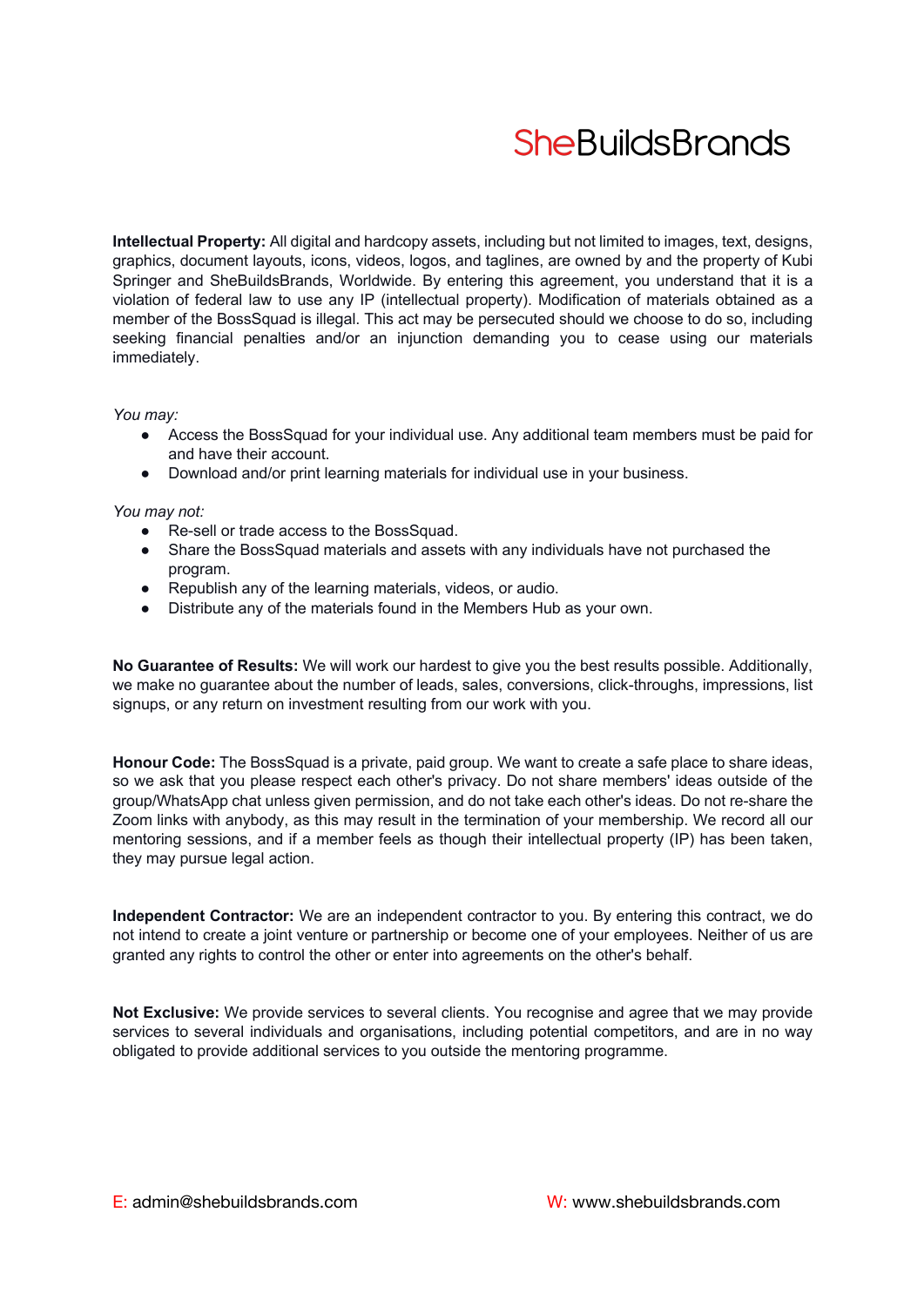## **SheBuildsBrands**

**Intellectual Property:** All digital and hardcopy assets, including but not limited to images, text, designs, graphics, document layouts, icons, videos, logos, and taglines, are owned by and the property of Kubi Springer and SheBuildsBrands, Worldwide. By entering this agreement, you understand that it is a violation of federal law to use any IP (intellectual property). Modification of materials obtained as a member of the BossSquad is illegal. This act may be persecuted should we choose to do so, including seeking financial penalties and/or an injunction demanding you to cease using our materials immediately.

*You may:*

- Access the BossSquad for your individual use. Any additional team members must be paid for and have their account.
- Download and/or print learning materials for individual use in your business.

*You may not:*

- Re-sell or trade access to the BossSquad.
- Share the BossSquad materials and assets with any individuals have not purchased the program.
- $\bullet$  Republish any of the learning materials, videos, or audio.
- Distribute any of the materials found in the Members Hub as your own.

**No Guarantee of Results:** We will work our hardest to give you the best results possible. Additionally, we make no guarantee about the number of leads, sales, conversions, click-throughs, impressions, list signups, or any return on investment resulting from our work with you.

**Honour Code:** The BossSquad is a private, paid group. We want to create a safe place to share ideas, so we ask that you please respect each other's privacy. Do not share members' ideas outside of the group/WhatsApp chat unless given permission, and do not take each other's ideas. Do not re-share the Zoom links with anybody, as this may result in the termination of your membership. We record all our mentoring sessions, and if a member feels as though their intellectual property (IP) has been taken, they may pursue legal action.

**Independent Contractor:** We are an independent contractor to you. By entering this contract, we do not intend to create a joint venture or partnership or become one of your employees. Neither of us are granted any rights to control the other or enter into agreements on the other's behalf.

Not Exclusive: We provide services to several clients. You recognise and agree that we may provide services to several individuals and organisations, including potential competitors, and are in no way obligated to provide additional services to you outside the mentoring programme.